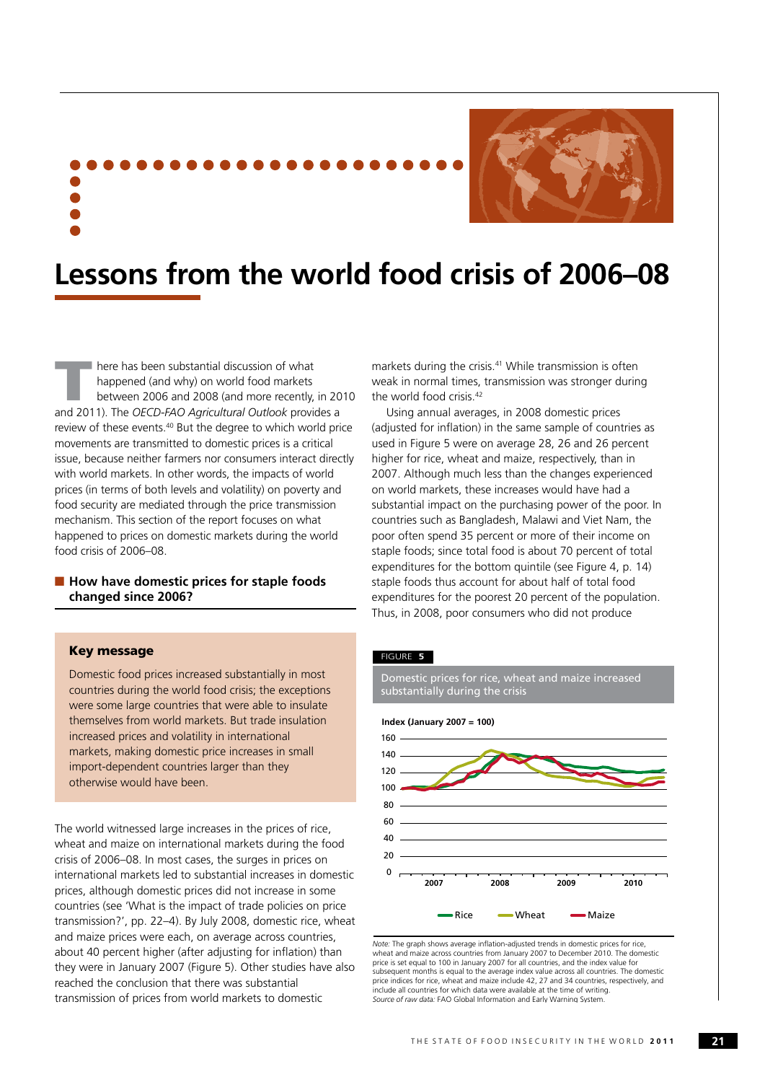

# **Lessons from the world food crisis of 2006–08**

 $\blacksquare$  here has been substantial discussion of what happened (and why) on world food markets between 2006 and 2008 (and more recently, in 2010 and 2011). The *OECD-FAO Agricultural Outlook* provides a review of these events.40 But the degree to which world price movements are transmitted to domestic prices is a critical issue, because neither farmers nor consumers interact directly with world markets. In other words, the impacts of world prices (in terms of both levels and volatility) on poverty and food security are mediated through the price transmission mechanism. This section of the report focuses on what happened to prices on domestic markets during the world food crisis of 2006–08.

# ■ How have domestic prices for staple foods **changed since 2006?**

# Key message

Domestic food prices increased substantially in most countries during the world food crisis; the exceptions were some large countries that were able to insulate themselves from world markets. But trade insulation increased prices and volatility in international markets, making domestic price increases in small import-dependent countries larger than they otherwise would have been.

The world witnessed large increases in the prices of rice, wheat and maize on international markets during the food crisis of 2006–08. In most cases, the surges in prices on international markets led to substantial increases in domestic prices, although domestic prices did not increase in some countries (see 'What is the impact of trade policies on price transmission?', pp. 22–4). By July 2008, domestic rice, wheat and maize prices were each, on average across countries, about 40 percent higher (after adjusting for inflation) than they were in January 2007 (Figure 5). Other studies have also reached the conclusion that there was substantial transmission of prices from world markets to domestic

markets during the crisis.<sup>41</sup> While transmission is often weak in normal times, transmission was stronger during the world food crisis.<sup>42</sup>

Using annual averages, in 2008 domestic prices (adjusted for inflation) in the same sample of countries as used in Figure 5 were on average 28, 26 and 26 percent higher for rice, wheat and maize, respectively, than in 2007. Although much less than the changes experienced on world markets, these increases would have had a substantial impact on the purchasing power of the poor. In countries such as Bangladesh, Malawi and Viet Nam, the poor often spend 35 percent or more of their income on staple foods; since total food is about 70 percent of total expenditures for the bottom quintile (see Figure 4, p. 14) staple foods thus account for about half of total food expenditures for the poorest 20 percent of the population. Thus, in 2008, poor consumers who did not produce

#### FIGURE **5**

Domestic prices for rice, wheat and maize increased substantially during the crisis



*Note:* The graph shows average inflation-adjusted trends in domestic prices for rice, wheat and maize across countries from January 2007 to December 2010. The domestic price is set equal to 100 in January 2007 for all countries, and the index value for subsequent months is equal to the average index value across all countries. The domestic price indices for rice, wheat and maize include 42, 27 and 34 countries, respectively, and include all countries for which data were available at the time of writing. *Source of raw data:* FAO Global Information and Early Warning System.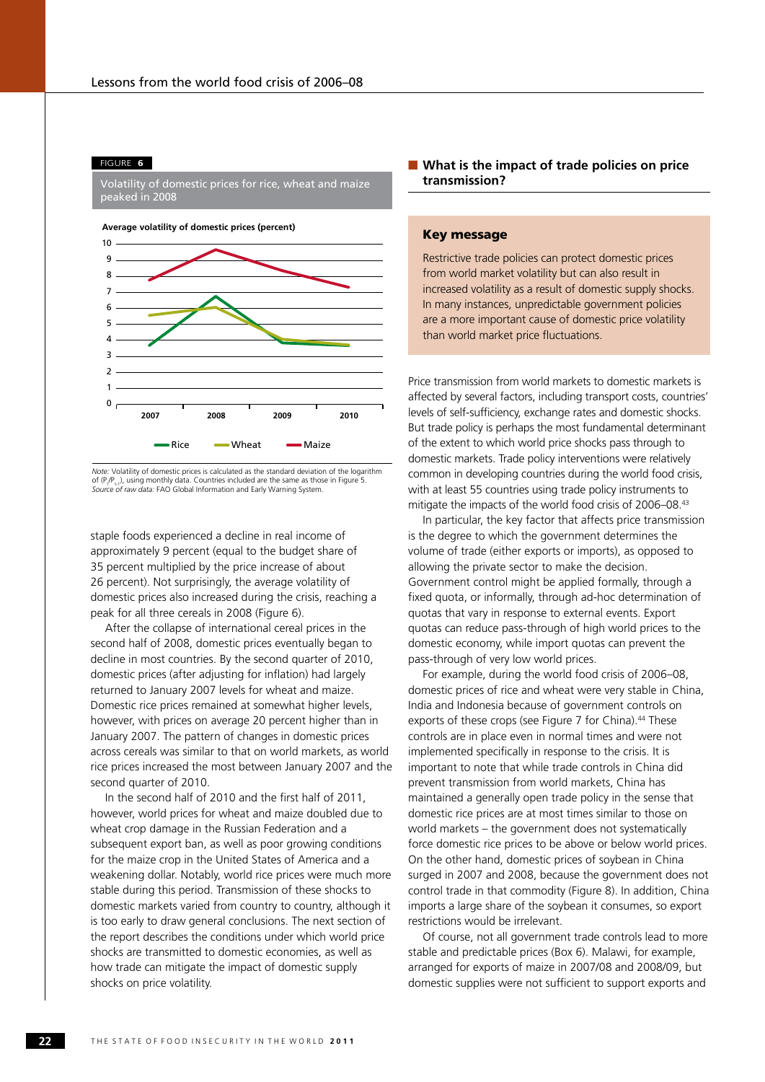#### FIGURE **6**

Volatility of domestic prices for rice, wheat and maize peaked in 2008





*Note:* Volatility of domestic prices is calculated as the standard deviation of the logarithm of  $(P_t/P_{t-1})$ , using monthly data. Countries included are the same as those in Figure 5. *Source of raw data:* FAO Global Information and Early Warning System.

staple foods experienced a decline in real income of approximately 9 percent (equal to the budget share of 35 percent multiplied by the price increase of about 26 percent). Not surprisingly, the average volatility of domestic prices also increased during the crisis, reaching a peak for all three cereals in 2008 (Figure 6).

After the collapse of international cereal prices in the second half of 2008, domestic prices eventually began to decline in most countries. By the second quarter of 2010, domestic prices (after adjusting for inflation) had largely returned to January 2007 levels for wheat and maize. Domestic rice prices remained at somewhat higher levels, however, with prices on average 20 percent higher than in January 2007. The pattern of changes in domestic prices across cereals was similar to that on world markets, as world rice prices increased the most between January 2007 and the second quarter of 2010.

In the second half of 2010 and the first half of 2011 however, world prices for wheat and maize doubled due to wheat crop damage in the Russian Federation and a subsequent export ban, as well as poor growing conditions for the maize crop in the United States of America and a weakening dollar. Notably, world rice prices were much more stable during this period. Transmission of these shocks to domestic markets varied from country to country, although it is too early to draw general conclusions. The next section of the report describes the conditions under which world price shocks are transmitted to domestic economies, as well as how trade can mitigate the impact of domestic supply shocks on price volatility.

# ■ What is the impact of trade policies on price **transmission?**

# Key message

Restrictive trade policies can protect domestic prices from world market volatility but can also result in increased volatility as a result of domestic supply shocks. In many instances, unpredictable government policies are a more important cause of domestic price volatility than world market price fluctuations.

Price transmission from world markets to domestic markets is affected by several factors, including transport costs, countries' levels of self-sufficiency, exchange rates and domestic shocks. But trade policy is perhaps the most fundamental determinant of the extent to which world price shocks pass through to domestic markets. Trade policy interventions were relatively common in developing countries during the world food crisis, with at least 55 countries using trade policy instruments to mitigate the impacts of the world food crisis of 2006–08.43

In particular, the key factor that affects price transmission is the degree to which the government determines the volume of trade (either exports or imports), as opposed to allowing the private sector to make the decision. Government control might be applied formally, through a fixed quota, or informally, through ad-hoc determination of quotas that vary in response to external events. Export quotas can reduce pass-through of high world prices to the domestic economy, while import quotas can prevent the pass-through of very low world prices.

For example, during the world food crisis of 2006–08, domestic prices of rice and wheat were very stable in China, India and Indonesia because of government controls on exports of these crops (see Figure 7 for China).<sup>44</sup> These controls are in place even in normal times and were not implemented specifically in response to the crisis. It is important to note that while trade controls in China did prevent transmission from world markets, China has maintained a generally open trade policy in the sense that domestic rice prices are at most times similar to those on world markets – the government does not systematically force domestic rice prices to be above or below world prices. On the other hand, domestic prices of soybean in China surged in 2007 and 2008, because the government does not control trade in that commodity (Figure 8). In addition, China imports a large share of the soybean it consumes, so export restrictions would be irrelevant.

Of course, not all government trade controls lead to more stable and predictable prices (Box 6). Malawi, for example, arranged for exports of maize in 2007/08 and 2008/09, but domestic supplies were not sufficient to support exports and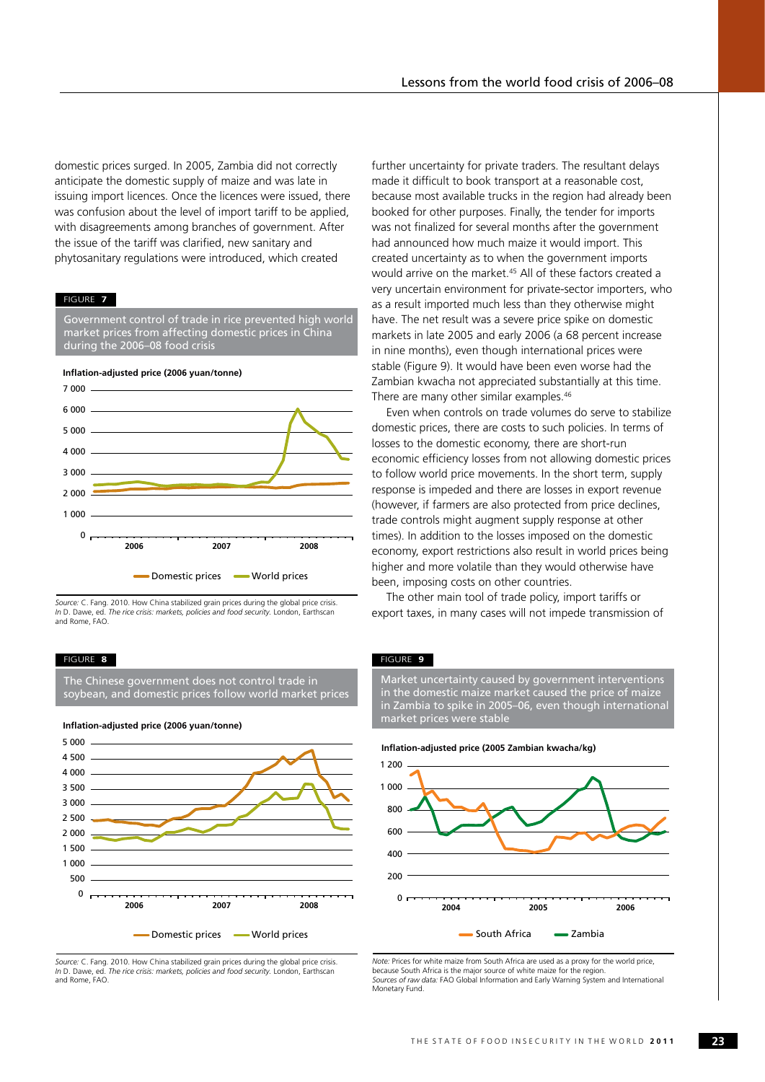domestic prices surged. In 2005, Zambia did not correctly anticipate the domestic supply of maize and was late in issuing import licences. Once the licences were issued, there was confusion about the level of import tariff to be applied, with disagreements among branches of government. After the issue of the tariff was clarified, new sanitary and phytosanitary regulations were introduced, which created

#### FIGURE **7**

Government control of trade in rice prevented high world market prices from affecting domestic prices in China during the 2006–08 food crisis



*Source:* C. Fang. 2010. How China stabilized grain prices during the global price crisis. *In* D. Dawe, ed. *The rice crisis: markets, policies and food security.* London, Earthscan and Rome, FAO.

#### FIGURE **8**

The Chinese government does not control trade in soybean, and domestic prices follow world market prices



*Source:* C. Fang. 2010. How China stabilized grain prices during the global price crisis. *In* D. Dawe, ed. *The rice crisis: markets, policies and food security.* London, Earthscan and Rome, FAO.

further uncertainty for private traders. The resultant delays made it difficult to book transport at a reasonable cost, because most available trucks in the region had already been booked for other purposes. Finally, the tender for imports was not finalized for several months after the government had announced how much maize it would import. This created uncertainty as to when the government imports would arrive on the market.<sup>45</sup> All of these factors created a very uncertain environment for private-sector importers, who as a result imported much less than they otherwise might have. The net result was a severe price spike on domestic markets in late 2005 and early 2006 (a 68 percent increase in nine months), even though international prices were stable (Figure 9). It would have been even worse had the Zambian kwacha not appreciated substantially at this time. There are many other similar examples.<sup>46</sup>

Even when controls on trade volumes do serve to stabilize domestic prices, there are costs to such policies. In terms of losses to the domestic economy, there are short-run economic efficiency losses from not allowing domestic prices to follow world price movements. In the short term, supply response is impeded and there are losses in export revenue (however, if farmers are also protected from price declines, trade controls might augment supply response at other times). In addition to the losses imposed on the domestic economy, export restrictions also result in world prices being higher and more volatile than they would otherwise have been, imposing costs on other countries.

The other main tool of trade policy, import tariffs or export taxes, in many cases will not impede transmission of

#### FIGURE **9**

Market uncertainty caused by government interventions in the domestic maize market caused the price of maize in Zambia to spike in 2005–06, even though international market prices were stable



*Note:* Prices for white maize from South Africa are used as a proxy for the world price, because South Africa is the major source of white maize for the region. *Sources of raw data:* FAO Global Information and Early Warning System and International Monetary Fund.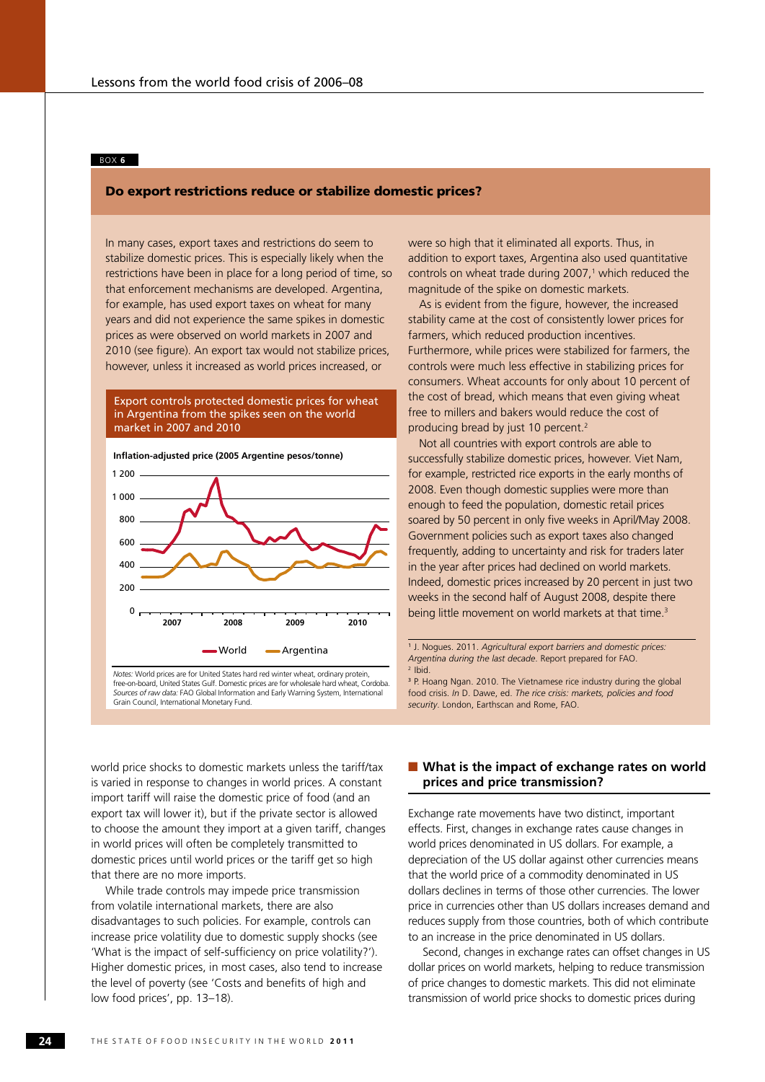## BOX **6**

# Do export restrictions reduce or stabilize domestic prices?

In many cases, export taxes and restrictions do seem to stabilize domestic prices. This is especially likely when the restrictions have been in place for a long period of time, so that enforcement mechanisms are developed. Argentina, for example, has used export taxes on wheat for many years and did not experience the same spikes in domestic prices as were observed on world markets in 2007 and 2010 (see figure). An export tax would not stabilize prices, however, unless it increased as world prices increased, or

# Export controls protected domestic prices for wheat in Argentina from the spikes seen on the world market in 2007 and 2010



*Notes:* World prices are for United States hard red winter wheat, ordinary protein, free-on-board, United States Gulf. Domestic prices are for wholesale hard wheat, Cordoba. *Sources of raw data:* FAO Global Information and Early Warning System, International Grain Council, International Monetary Fund.

were so high that it eliminated all exports. Thus, in addition to export taxes, Argentina also used quantitative controls on wheat trade during 2007,<sup>1</sup> which reduced the magnitude of the spike on domestic markets.

As is evident from the figure, however, the increased stability came at the cost of consistently lower prices for farmers, which reduced production incentives. Furthermore, while prices were stabilized for farmers, the controls were much less effective in stabilizing prices for consumers. Wheat accounts for only about 10 percent of the cost of bread, which means that even giving wheat free to millers and bakers would reduce the cost of producing bread by just 10 percent.2

Not all countries with export controls are able to successfully stabilize domestic prices, however. Viet Nam, for example, restricted rice exports in the early months of 2008. Even though domestic supplies were more than enough to feed the population, domestic retail prices soared by 50 percent in only five weeks in April/May 2008. Government policies such as export taxes also changed frequently, adding to uncertainty and risk for traders later in the year after prices had declined on world markets. Indeed, domestic prices increased by 20 percent in just two weeks in the second half of August 2008, despite there being little movement on world markets at that time.<sup>3</sup>

1 J. Nogues. 2011. *Agricultural export barriers and domestic prices: Argentina during the last decade*. Report prepared for FAO. 2 Ibid.

3 P. Hoang Ngan. 2010. The Vietnamese rice industry during the global food crisis. *In* D. Dawe, ed. *The rice crisis: markets, policies and food security*. London, Earthscan and Rome, FAO.

world price shocks to domestic markets unless the tariff/tax is varied in response to changes in world prices. A constant import tariff will raise the domestic price of food (and an export tax will lower it), but if the private sector is allowed to choose the amount they import at a given tariff, changes in world prices will often be completely transmitted to domestic prices until world prices or the tariff get so high that there are no more imports.

While trade controls may impede price transmission from volatile international markets, there are also disadvantages to such policies. For example, controls can increase price volatility due to domestic supply shocks (see 'What is the impact of self-sufficiency on price volatility?'). Higher domestic prices, in most cases, also tend to increase the level of poverty (see 'Costs and benefits of high and low food prices', pp. 13–18).

# ■ What is the impact of exchange rates on world **prices and price transmission?**

Exchange rate movements have two distinct, important effects. First, changes in exchange rates cause changes in world prices denominated in US dollars. For example, a depreciation of the US dollar against other currencies means that the world price of a commodity denominated in US dollars declines in terms of those other currencies. The lower price in currencies other than US dollars increases demand and reduces supply from those countries, both of which contribute to an increase in the price denominated in US dollars.

Second, changes in exchange rates can offset changes in US dollar prices on world markets, helping to reduce transmission of price changes to domestic markets. This did not eliminate transmission of world price shocks to domestic prices during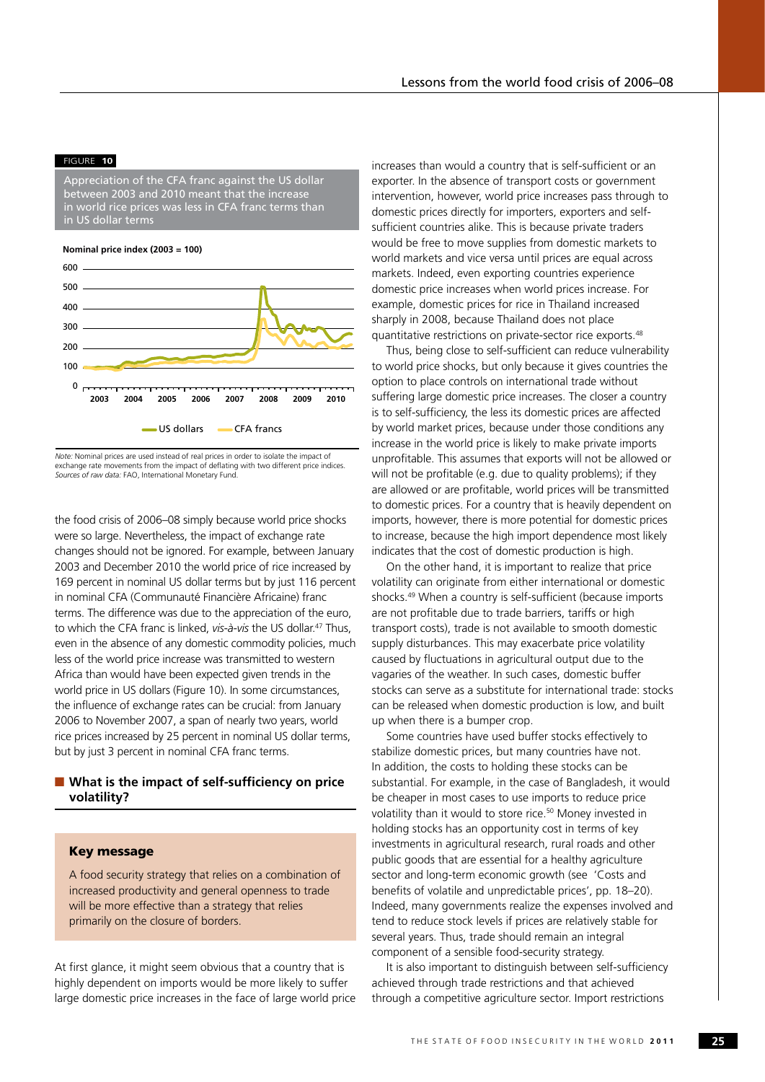#### FIGURE **10**

Appreciation of the CFA franc against the US dollar between 2003 and 2010 meant that the increase in world rice prices was less in CFA franc terms than in US dollar terms

**Nominal price index (2003 = 100)**



*Note:* Nominal prices are used instead of real prices in order to isolate the impact of exchange rate movements from the impact of deflating with two different price indices. *Sources of raw data:* FAO, International Monetary Fund.

the food crisis of 2006–08 simply because world price shocks were so large. Nevertheless, the impact of exchange rate changes should not be ignored. For example, between January 2003 and December 2010 the world price of rice increased by 169 percent in nominal US dollar terms but by just 116 percent in nominal CFA (Communauté Financière Africaine) franc terms. The difference was due to the appreciation of the euro, to which the CFA franc is linked, *vis-à-vis* the US dollar<sup>47</sup> Thus even in the absence of any domestic commodity policies, much less of the world price increase was transmitted to western Africa than would have been expected given trends in the world price in US dollars (Figure 10). In some circumstances, the influence of exchange rates can be crucial: from January 2006 to November 2007, a span of nearly two years, world rice prices increased by 25 percent in nominal US dollar terms, but by just 3 percent in nominal CFA franc terms.

# ■ What is the impact of self-sufficiency on price **volatility?**

# Key message

A food security strategy that relies on a combination of increased productivity and general openness to trade will be more effective than a strategy that relies primarily on the closure of borders.

At first glance, it might seem obvious that a country that is highly dependent on imports would be more likely to suffer large domestic price increases in the face of large world price increases than would a country that is self-sufficient or an exporter. In the absence of transport costs or government intervention, however, world price increases pass through to domestic prices directly for importers, exporters and selfsufficient countries alike. This is because private traders would be free to move supplies from domestic markets to world markets and vice versa until prices are equal across markets. Indeed, even exporting countries experience domestic price increases when world prices increase. For example, domestic prices for rice in Thailand increased sharply in 2008, because Thailand does not place quantitative restrictions on private-sector rice exports.48

Thus, being close to self-sufficient can reduce vulnerability to world price shocks, but only because it gives countries the option to place controls on international trade without suffering large domestic price increases. The closer a country is to self-sufficiency, the less its domestic prices are affected by world market prices, because under those conditions any increase in the world price is likely to make private imports unprofitable. This assumes that exports will not be allowed or will not be profitable (e.g. due to quality problems); if they are allowed or are profitable, world prices will be transmitted to domestic prices. For a country that is heavily dependent on imports, however, there is more potential for domestic prices to increase, because the high import dependence most likely indicates that the cost of domestic production is high.

On the other hand, it is important to realize that price volatility can originate from either international or domestic shocks.<sup>49</sup> When a country is self-sufficient (because imports are not profitable due to trade barriers, tariffs or high transport costs), trade is not available to smooth domestic supply disturbances. This may exacerbate price volatility caused by fluctuations in agricultural output due to the vagaries of the weather. In such cases, domestic buffer stocks can serve as a substitute for international trade: stocks can be released when domestic production is low, and built up when there is a bumper crop.

Some countries have used buffer stocks effectively to stabilize domestic prices, but many countries have not. In addition, the costs to holding these stocks can be substantial. For example, in the case of Bangladesh, it would be cheaper in most cases to use imports to reduce price volatility than it would to store rice.<sup>50</sup> Money invested in holding stocks has an opportunity cost in terms of key investments in agricultural research, rural roads and other public goods that are essential for a healthy agriculture sector and long-term economic growth (see 'Costs and benefits of volatile and unpredictable prices', pp. 18–20). Indeed, many governments realize the expenses involved and tend to reduce stock levels if prices are relatively stable for several years. Thus, trade should remain an integral component of a sensible food-security strategy.

It is also important to distinguish between self-sufficiency achieved through trade restrictions and that achieved through a competitive agriculture sector. Import restrictions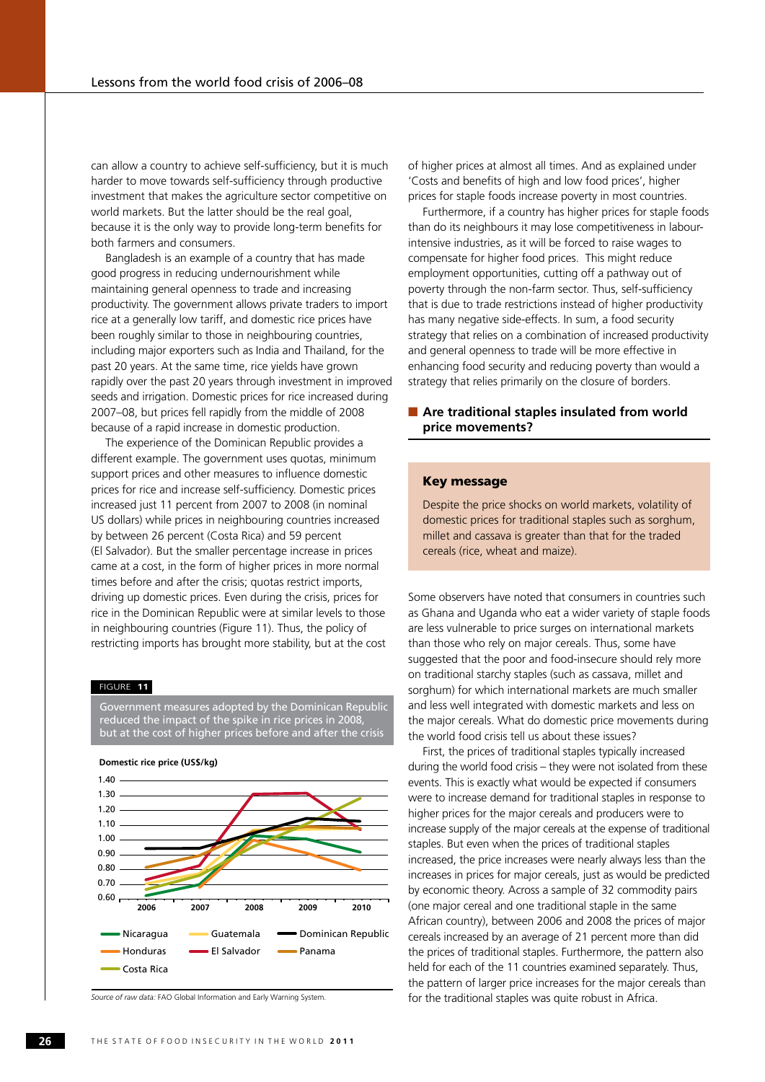can allow a country to achieve self-sufficiency, but it is much harder to move towards self-sufficiency through productive investment that makes the agriculture sector competitive on world markets. But the latter should be the real goal, because it is the only way to provide long-term benefits for both farmers and consumers.

Bangladesh is an example of a country that has made good progress in reducing undernourishment while maintaining general openness to trade and increasing productivity. The government allows private traders to import rice at a generally low tariff, and domestic rice prices have been roughly similar to those in neighbouring countries, including major exporters such as India and Thailand, for the past 20 years. At the same time, rice yields have grown rapidly over the past 20 years through investment in improved seeds and irrigation. Domestic prices for rice increased during 2007–08, but prices fell rapidly from the middle of 2008 because of a rapid increase in domestic production.

The experience of the Dominican Republic provides a different example. The government uses quotas, minimum support prices and other measures to influence domestic prices for rice and increase self-sufficiency. Domestic prices increased just 11 percent from 2007 to 2008 (in nominal US dollars) while prices in neighbouring countries increased by between 26 percent (Costa Rica) and 59 percent (El Salvador). But the smaller percentage increase in prices came at a cost, in the form of higher prices in more normal times before and after the crisis; quotas restrict imports, driving up domestic prices. Even during the crisis, prices for rice in the Dominican Republic were at similar levels to those in neighbouring countries (Figure 11). Thus, the policy of restricting imports has brought more stability, but at the cost

#### FIGURE **11**

Government measures adopted by the Dominican Republic reduced the impact of the spike in rice prices in 2008, but at the cost of higher prices before and after the crisis



**Domestic rice price (US\$/kg)**

*Source of raw data:* FAO Global Information and Early Warning System.

of higher prices at almost all times. And as explained under 'Costs and benefits of high and low food prices', higher prices for staple foods increase poverty in most countries.

Furthermore, if a country has higher prices for staple foods than do its neighbours it may lose competitiveness in labourintensive industries, as it will be forced to raise wages to compensate for higher food prices. This might reduce employment opportunities, cutting off a pathway out of poverty through the non-farm sector. Thus, self-sufficiency that is due to trade restrictions instead of higher productivity has many negative side-effects. In sum, a food security strategy that relies on a combination of increased productivity and general openness to trade will be more effective in enhancing food security and reducing poverty than would a strategy that relies primarily on the closure of borders.

# ■ Are traditional staples insulated from world **price movements?**

# Key message

Despite the price shocks on world markets, volatility of domestic prices for traditional staples such as sorghum, millet and cassava is greater than that for the traded cereals (rice, wheat and maize).

Some observers have noted that consumers in countries such as Ghana and Uganda who eat a wider variety of staple foods are less vulnerable to price surges on international markets than those who rely on major cereals. Thus, some have suggested that the poor and food-insecure should rely more on traditional starchy staples (such as cassava, millet and sorghum) for which international markets are much smaller and less well integrated with domestic markets and less on the major cereals. What do domestic price movements during the world food crisis tell us about these issues?

First, the prices of traditional staples typically increased during the world food crisis – they were not isolated from these events. This is exactly what would be expected if consumers were to increase demand for traditional staples in response to higher prices for the major cereals and producers were to increase supply of the major cereals at the expense of traditional staples. But even when the prices of traditional staples increased, the price increases were nearly always less than the increases in prices for major cereals, just as would be predicted by economic theory. Across a sample of 32 commodity pairs (one major cereal and one traditional staple in the same African country), between 2006 and 2008 the prices of major cereals increased by an average of 21 percent more than did the prices of traditional staples. Furthermore, the pattern also held for each of the 11 countries examined separately. Thus, the pattern of larger price increases for the major cereals than for the traditional staples was quite robust in Africa.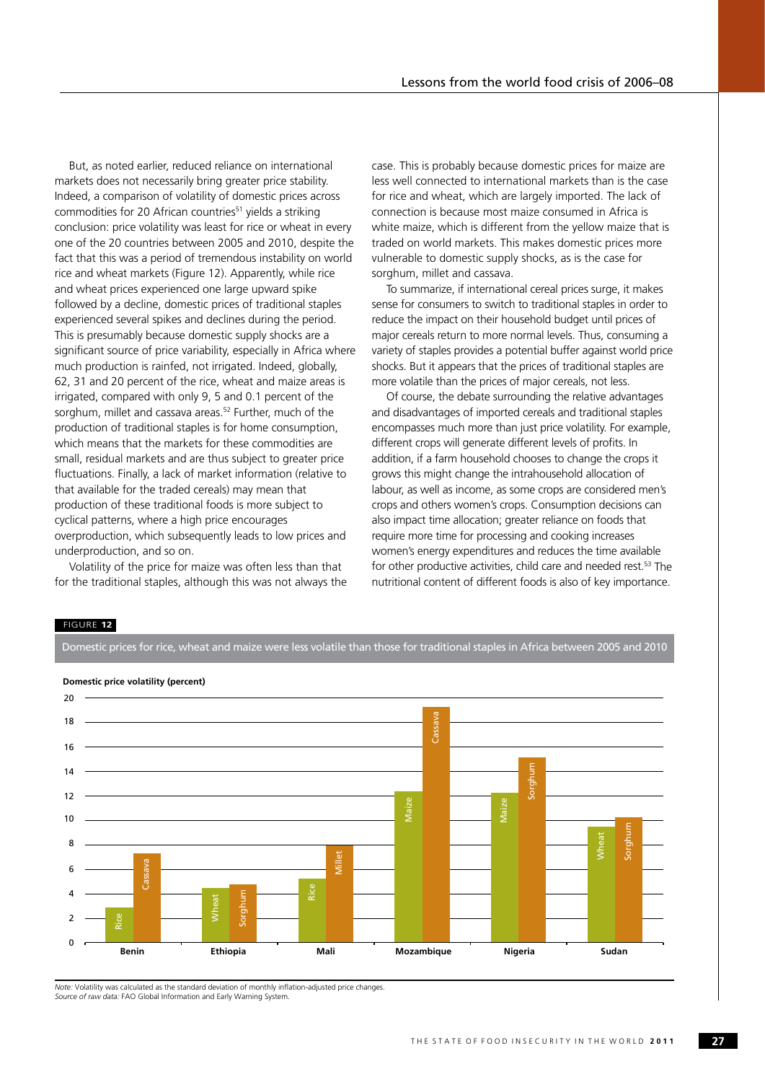But, as noted earlier, reduced reliance on international markets does not necessarily bring greater price stability. Indeed, a comparison of volatility of domestic prices across commodities for 20 African countries<sup>51</sup> yields a striking conclusion: price volatility was least for rice or wheat in every one of the 20 countries between 2005 and 2010, despite the fact that this was a period of tremendous instability on world rice and wheat markets (Figure 12). Apparently, while rice and wheat prices experienced one large upward spike followed by a decline, domestic prices of traditional staples experienced several spikes and declines during the period. This is presumably because domestic supply shocks are a significant source of price variability, especially in Africa where much production is rainfed, not irrigated. Indeed, globally, 62, 31 and 20 percent of the rice, wheat and maize areas is irrigated, compared with only 9, 5 and 0.1 percent of the sorghum, millet and cassava areas.<sup>52</sup> Further, much of the production of traditional staples is for home consumption, which means that the markets for these commodities are small, residual markets and are thus subject to greater price fluctuations. Finally, a lack of market information (relative to that available for the traded cereals) may mean that production of these traditional foods is more subject to cyclical patterns, where a high price encourages overproduction, which subsequently leads to low prices and underproduction, and so on.

Volatility of the price for maize was often less than that for the traditional staples, although this was not always the case. This is probably because domestic prices for maize are less well connected to international markets than is the case for rice and wheat, which are largely imported. The lack of connection is because most maize consumed in Africa is white maize, which is different from the yellow maize that is traded on world markets. This makes domestic prices more vulnerable to domestic supply shocks, as is the case for sorghum, millet and cassava.

To summarize, if international cereal prices surge, it makes sense for consumers to switch to traditional staples in order to reduce the impact on their household budget until prices of major cereals return to more normal levels. Thus, consuming a variety of staples provides a potential buffer against world price shocks. But it appears that the prices of traditional staples are more volatile than the prices of major cereals, not less.

Of course, the debate surrounding the relative advantages and disadvantages of imported cereals and traditional staples encompasses much more than just price volatility. For example, different crops will generate different levels of profits. In addition, if a farm household chooses to change the crops it grows this might change the intrahousehold allocation of labour, as well as income, as some crops are considered men's crops and others women's crops. Consumption decisions can also impact time allocation; greater reliance on foods that require more time for processing and cooking increases women's energy expenditures and reduces the time available for other productive activities, child care and needed rest.<sup>53</sup> The nutritional content of different foods is also of key importance.

## FIGURE **12**





*Note:* Volatility was calculated as the standard deviation of monthly inflation-adjusted price changes. *Source of raw data:* FAO Global Information and Early Warning System.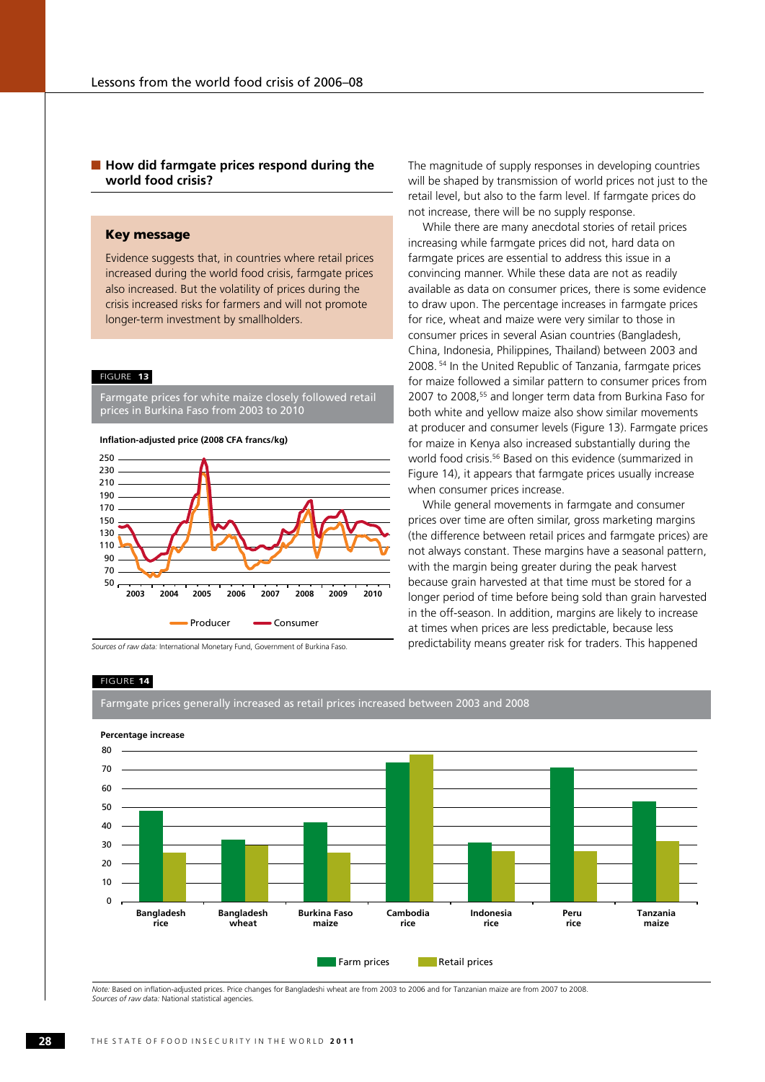# ■ How did farmgate prices respond during the **world food crisis?**

# Key message

Evidence suggests that, in countries where retail prices increased during the world food crisis, farmgate prices also increased. But the volatility of prices during the crisis increased risks for farmers and will not promote longer-term investment by smallholders.

#### FIGURE **13**

Farmgate prices for white maize closely followed retail prices in Burkina Faso from 2003 to 2010

#### **Inflation-adjusted price (2008 CFA francs/kg)**



*Sources of raw data:* International Monetary Fund, Government of Burkina Faso.

The magnitude of supply responses in developing countries will be shaped by transmission of world prices not just to the retail level, but also to the farm level. If farmgate prices do not increase, there will be no supply response.

While there are many anecdotal stories of retail prices increasing while farmgate prices did not, hard data on farmgate prices are essential to address this issue in a convincing manner. While these data are not as readily available as data on consumer prices, there is some evidence to draw upon. The percentage increases in farmgate prices for rice, wheat and maize were very similar to those in consumer prices in several Asian countries (Bangladesh, China, Indonesia, Philippines, Thailand) between 2003 and 2008. 54 In the United Republic of Tanzania, farmgate prices for maize followed a similar pattern to consumer prices from 2007 to 2008,55 and longer term data from Burkina Faso for both white and yellow maize also show similar movements at producer and consumer levels (Figure 13). Farmgate prices for maize in Kenya also increased substantially during the world food crisis.56 Based on this evidence (summarized in Figure 14), it appears that farmgate prices usually increase when consumer prices increase.

While general movements in farmgate and consumer prices over time are often similar, gross marketing margins (the difference between retail prices and farmgate prices) are not always constant. These margins have a seasonal pattern, with the margin being greater during the peak harvest because grain harvested at that time must be stored for a longer period of time before being sold than grain harvested in the off-season. In addition, margins are likely to increase at times when prices are less predictable, because less predictability means greater risk for traders. This happened

#### FIGURE **14**





*Note:* Based on inflation-adjusted prices. Price changes for Bangladeshi wheat are from 2003 to 2006 and for Tanzanian maize are from 2007 to 2008. *Sources of raw data:* National statistical agencies.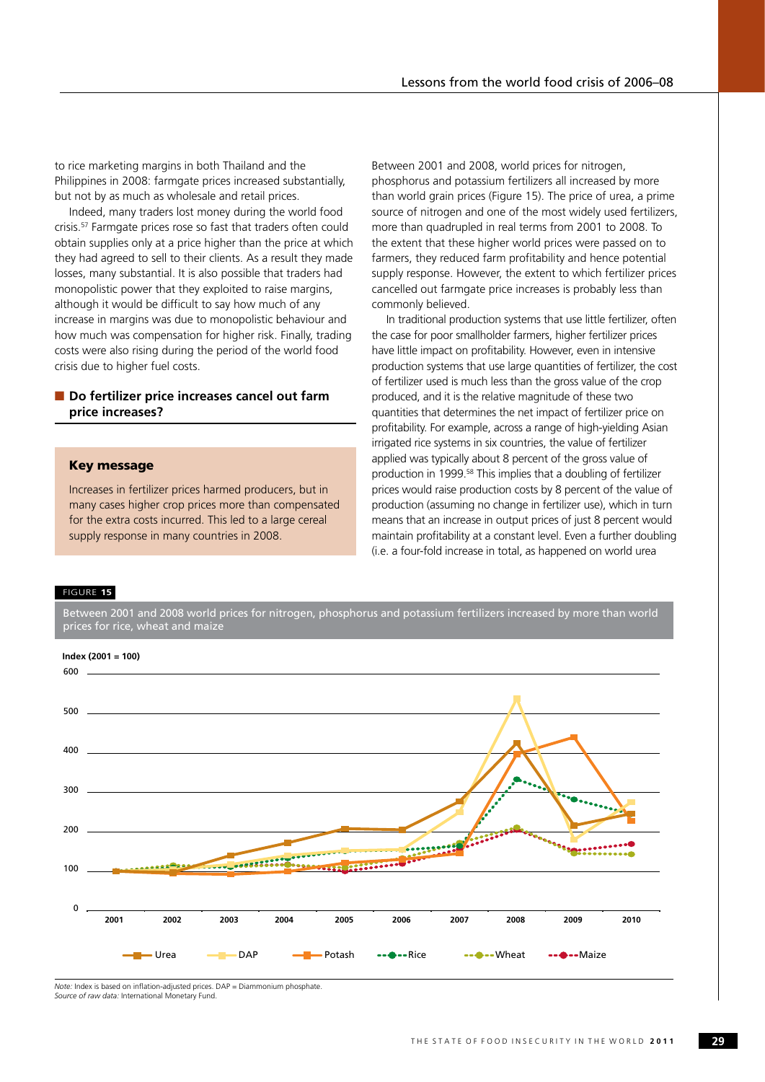to rice marketing margins in both Thailand and the Philippines in 2008: farmgate prices increased substantially, but not by as much as wholesale and retail prices.

Indeed, many traders lost money during the world food crisis.57 Farmgate prices rose so fast that traders often could obtain supplies only at a price higher than the price at which they had agreed to sell to their clients. As a result they made losses, many substantial. It is also possible that traders had monopolistic power that they exploited to raise margins, although it would be difficult to say how much of any increase in margins was due to monopolistic behaviour and how much was compensation for higher risk. Finally, trading costs were also rising during the period of the world food crisis due to higher fuel costs.

# ■ **Do fertilizer price increases cancel out farm price increases?**

# Key message

Increases in fertilizer prices harmed producers, but in many cases higher crop prices more than compensated for the extra costs incurred. This led to a large cereal supply response in many countries in 2008.

Between 2001 and 2008, world prices for nitrogen, phosphorus and potassium fertilizers all increased by more than world grain prices (Figure 15). The price of urea, a prime source of nitrogen and one of the most widely used fertilizers, more than quadrupled in real terms from 2001 to 2008. To the extent that these higher world prices were passed on to farmers, they reduced farm profitability and hence potential supply response. However, the extent to which fertilizer prices cancelled out farmgate price increases is probably less than commonly believed.

In traditional production systems that use little fertilizer, often the case for poor smallholder farmers, higher fertilizer prices have little impact on profitability. However, even in intensive production systems that use large quantities of fertilizer, the cost of fertilizer used is much less than the gross value of the crop produced, and it is the relative magnitude of these two quantities that determines the net impact of fertilizer price on profitability. For example, across a range of high-yielding Asian irrigated rice systems in six countries, the value of fertilizer applied was typically about 8 percent of the gross value of production in 1999.58 This implies that a doubling of fertilizer prices would raise production costs by 8 percent of the value of production (assuming no change in fertilizer use), which in turn means that an increase in output prices of just 8 percent would maintain profitability at a constant level. Even a further doubling (i.e. a four-fold increase in total, as happened on world urea

#### FIGURE **15**

Between 2001 and 2008 world prices for nitrogen, phosphorus and potassium fertilizers increased by more than world prices for rice, wheat and maize



*Note:* Index is based on inflation-adjusted prices. DAP = Diammonium phosphate. *Source of raw data:* International Monetary Fund.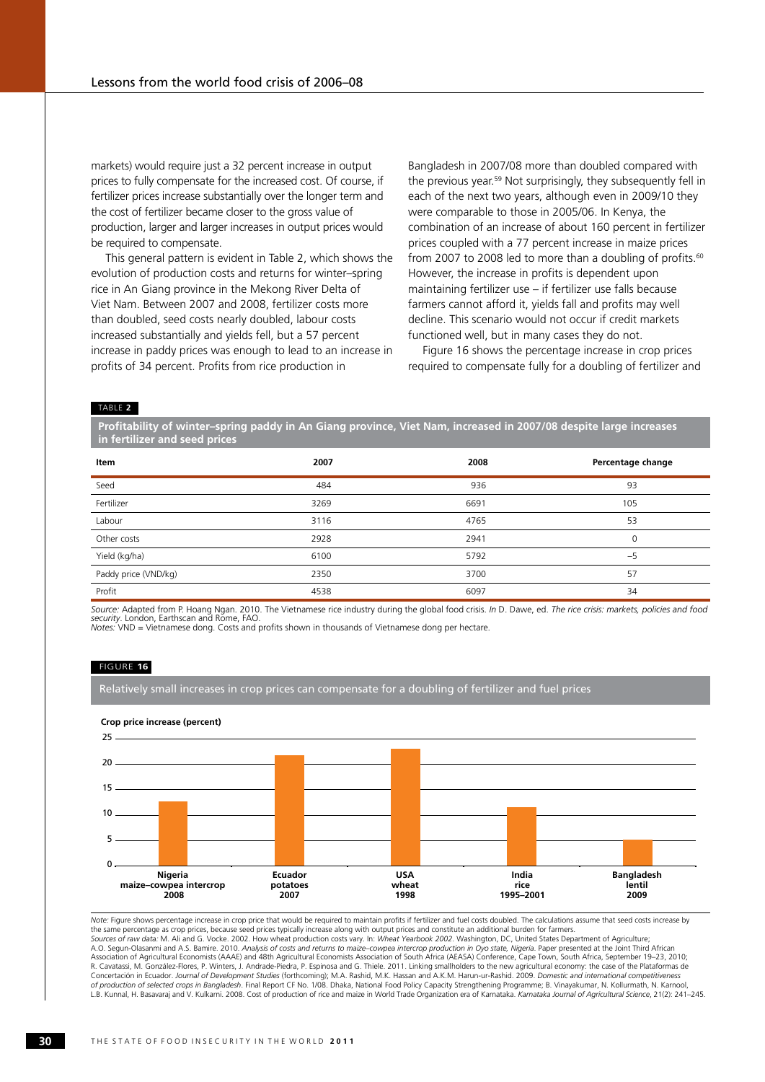markets) would require just a 32 percent increase in output prices to fully compensate for the increased cost. Of course, if fertilizer prices increase substantially over the longer term and the cost of fertilizer became closer to the gross value of production, larger and larger increases in output prices would be required to compensate.

This general pattern is evident in Table 2, which shows the evolution of production costs and returns for winter–spring rice in An Giang province in the Mekong River Delta of Viet Nam. Between 2007 and 2008, fertilizer costs more than doubled, seed costs nearly doubled, labour costs increased substantially and yields fell, but a 57 percent increase in paddy prices was enough to lead to an increase in profits of 34 percent. Profits from rice production in

Bangladesh in 2007/08 more than doubled compared with the previous year.<sup>59</sup> Not surprisingly, they subsequently fell in each of the next two years, although even in 2009/10 they were comparable to those in 2005/06. In Kenya, the combination of an increase of about 160 percent in fertilizer prices coupled with a 77 percent increase in maize prices from 2007 to 2008 led to more than a doubling of profits.<sup>60</sup> However, the increase in profits is dependent upon maintaining fertilizer use – if fertilizer use falls because farmers cannot afford it, yields fall and profits may well decline. This scenario would not occur if credit markets functioned well, but in many cases they do not.

Figure 16 shows the percentage increase in crop prices required to compensate fully for a doubling of fertilizer and

#### Table **2**

**Profitability of winter–spring paddy in An Giang province, Viet Nam, increased in 2007/08 despite large increases in fertilizer and seed prices**

| Item                 | 2007 | 2008 | Percentage change |
|----------------------|------|------|-------------------|
| Seed                 | 484  | 936  | 93                |
| Fertilizer           | 3269 | 6691 | 105               |
| Labour               | 3116 | 4765 | 53                |
| Other costs          | 2928 | 2941 | $\mathbf 0$       |
| Yield (kg/ha)        | 6100 | 5792 | $-5$              |
| Paddy price (VND/kg) | 2350 | 3700 | 57                |
| Profit               | 4538 | 6097 | 34                |

*Source: A*dapted from P. Hoang Ngan. 2010. The Vietnamese rice industry during the global food crisis. *In* D. Dawe, ed. *The rice crisis: markets, policies and food*<br>*security.* London, Earthscan and Rome, FAO. *Notes:* VND = Vietnamese dong. Costs and profits shown in thousands of Vietnamese dong per hectare.

#### FIGURE **16**

Relatively small increases in crop prices can compensate for a doubling of fertilizer and fuel prices





*Note:* Figure shows percentage increase in crop price that would be required to maintain profits if fertilizer and fuel costs doubled. The calculations assume that seed costs increase by the same percentage as crop prices, because seed prices typically increase along with output prices and constitute an additional burden for farmers.<br>*Sources of raw data:* M. Ali and G. Vocke. 2002. How wheat production co A.O. Segun-Olasanmi and A.S. Bamire. 2010. *Analysis of costs and returns to maize–cowpea intercrop production in Oyo state, Nigeria. Paper presented at the Joint Third African<br>Association of Agricultural Economists (AAAE)* R. Cavatassi, M. González-Flores, P. Winters, J. Andrade-Piedra, P. Espinosa and G. Thiele. 2011. Linking smallholders to the new agricultural economy: the case of the Plataformas de Concertación in Ecuador. *Journal of Development Studies* (forthcoming); M.A. Rashid, M.K. Hassan and A.K.M. Harun-ur-Rashid. 2009. *Domestic and international competitiveness*<br>*of production of selected crops in Banglades* L.B. Kunnal, H. Basavaraj and V. Kulkarni. 2008. Cost of production of rice and maize in World Trade Organization era of Karnataka. *Karnataka Journal of Agricultural Science*, 21(2): 241–245.